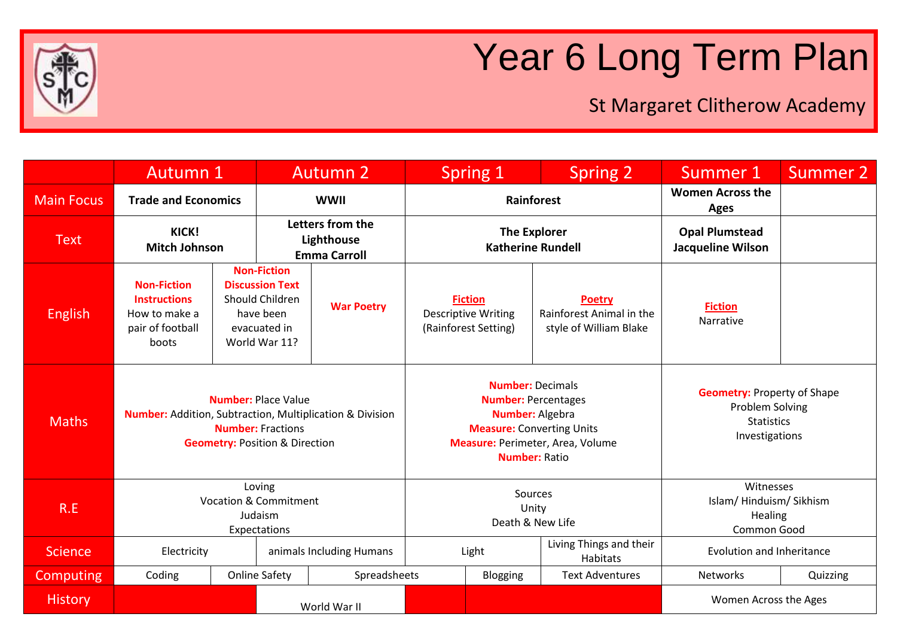

## Year 6 Long Term Plan

St Margaret Clitherow Academy

|                   | Autumn 1                                                                                |                                                                                                     | <b>Autumn 2</b>                                                                                               |                                                                                                                                                                                 |                                                 | Spring 1                                                             | <b>Spring 2</b>                                                                              | Summer 1                                          | Summer 2 |
|-------------------|-----------------------------------------------------------------------------------------|-----------------------------------------------------------------------------------------------------|---------------------------------------------------------------------------------------------------------------|---------------------------------------------------------------------------------------------------------------------------------------------------------------------------------|-------------------------------------------------|----------------------------------------------------------------------|----------------------------------------------------------------------------------------------|---------------------------------------------------|----------|
| <b>Main Focus</b> | <b>Trade and Economics</b>                                                              |                                                                                                     | <b>WWII</b>                                                                                                   |                                                                                                                                                                                 | Rainforest                                      |                                                                      |                                                                                              | <b>Women Across the</b><br><b>Ages</b>            |          |
| <b>Text</b>       | KICK!<br><b>Mitch Johnson</b>                                                           |                                                                                                     | Letters from the<br>Lighthouse<br><b>Emma Carroll</b>                                                         |                                                                                                                                                                                 | <b>The Explorer</b><br><b>Katherine Rundell</b> |                                                                      |                                                                                              | <b>Opal Plumstead</b><br><b>Jacqueline Wilson</b> |          |
| <b>English</b>    | <b>Non-Fiction</b><br><b>Instructions</b><br>How to make a<br>pair of football<br>boots |                                                                                                     | <b>Non-Fiction</b><br><b>Discussion Text</b><br>Should Children<br>have been<br>evacuated in<br>World War 11? | <b>War Poetry</b>                                                                                                                                                               |                                                 | <b>Fiction</b><br><b>Descriptive Writing</b><br>(Rainforest Setting) | <b>Poetry</b><br>Rainforest Animal in the<br>style of William Blake                          | <b>Fiction</b><br>Narrative                       |          |
| <b>Maths</b>      | <b>Number:</b> Addition, Subtraction, Multiplication & Division                         | <b>Number: Place Value</b><br><b>Number: Fractions</b><br><b>Geometry: Position &amp; Direction</b> |                                                                                                               | <b>Number: Decimals</b><br><b>Number: Percentages</b><br><b>Number: Algebra</b><br><b>Measure:</b> Converting Units<br>Measure: Perimeter, Area, Volume<br><b>Number: Ratio</b> |                                                 |                                                                      | <b>Geometry: Property of Shape</b><br>Problem Solving<br><b>Statistics</b><br>Investigations |                                                   |          |
| R.E               |                                                                                         | Loving<br><b>Vocation &amp; Commitment</b><br>Judaism<br>Expectations                               |                                                                                                               | Sources<br>Unity<br>Death & New Life                                                                                                                                            |                                                 |                                                                      | Witnesses<br>Islam/Hinduism/Sikhism<br>Healing<br>Common Good                                |                                                   |          |
| <b>Science</b>    | Electricity                                                                             |                                                                                                     | animals Including Humans                                                                                      |                                                                                                                                                                                 | Light                                           |                                                                      | Living Things and their<br>Habitats                                                          | <b>Evolution and Inheritance</b>                  |          |
| <b>Computing</b>  | Coding                                                                                  |                                                                                                     | <b>Online Safety</b>                                                                                          | Spreadsheets                                                                                                                                                                    |                                                 | Blogging                                                             | <b>Text Adventures</b>                                                                       | Networks                                          | Quizzing |
| <b>History</b>    | World War II                                                                            |                                                                                                     |                                                                                                               |                                                                                                                                                                                 |                                                 | Women Across the Ages                                                |                                                                                              |                                                   |          |